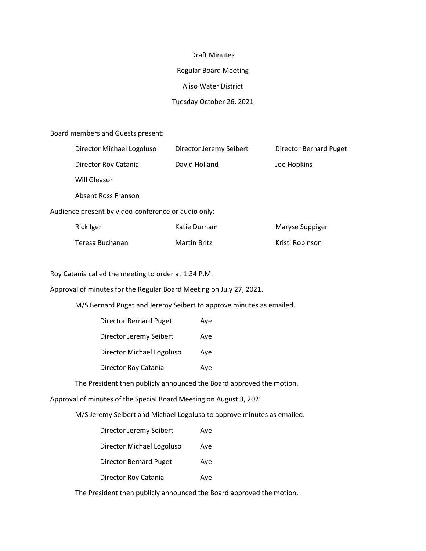#### Draft Minutes

#### Regular Board Meeting

### Aliso Water District

# Tuesday October 26, 2021

Board members and Guests present:

|                                                     | Director Michael Logoluso | Director Jeremy Seibert | Director Bernard Puget |  |  |  |
|-----------------------------------------------------|---------------------------|-------------------------|------------------------|--|--|--|
|                                                     | Director Roy Catania      | David Holland           | Joe Hopkins            |  |  |  |
|                                                     | Will Gleason              |                         |                        |  |  |  |
|                                                     | Absent Ross Franson       |                         |                        |  |  |  |
| Audience present by video-conference or audio only: |                           |                         |                        |  |  |  |
|                                                     | Rick Iger                 | Katie Durham            | Maryse Suppiger        |  |  |  |
|                                                     | Teresa Buchanan           | <b>Martin Britz</b>     | Kristi Robinson        |  |  |  |

Roy Catania called the meeting to order at 1:34 P.M.

Approval of minutes for the Regular Board Meeting on July 27, 2021.

M/S Bernard Puget and Jeremy Seibert to approve minutes as emailed.

| <b>Director Bernard Puget</b> | Aye |
|-------------------------------|-----|
| Director Jeremy Seibert       | Aye |
| Director Michael Logoluso     | Ave |
| Director Roy Catania          | Ave |

The President then publicly announced the Board approved the motion.

Approval of minutes of the Special Board Meeting on August 3, 2021.

M/S Jeremy Seibert and Michael Logoluso to approve minutes as emailed.

| Director Jeremy Seibert   | Aye |
|---------------------------|-----|
| Director Michael Logoluso | Aye |
| Director Bernard Puget    | Aye |
| Director Roy Catania      | Ave |

The President then publicly announced the Board approved the motion.